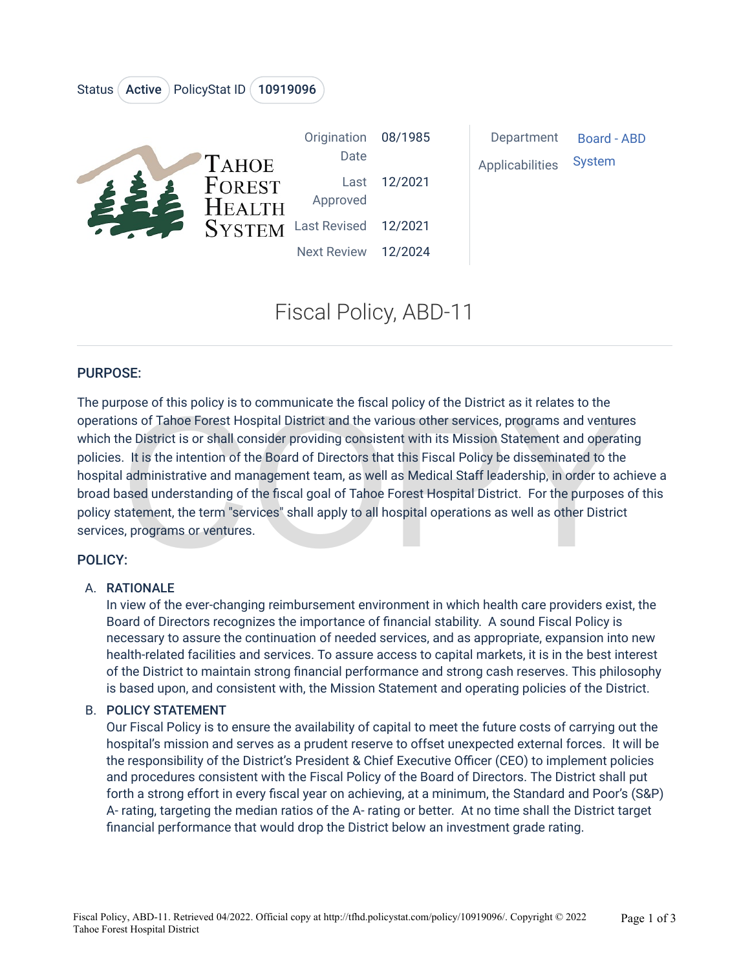#### Status (Active ) PolicyStat ID (10919096



|              | Origination 08/1985  |              |
|--------------|----------------------|--------------|
| <b>AHOE</b>  | Date                 |              |
| OREST        |                      | Last 12/2021 |
| <b>EALTH</b> | Approved             |              |
| YSTEM        | Last Revised 12/2021 |              |

Date Last proved 12/2021

08/1985

Department [Board - ABD](https://tfhd.policystat.com/v2/search?category=37189)  Applicabilities [System](https://tfhd.policystat.com/v2/search?reference=29046) 

# Fiscal Policy, ABD-11

Next Review 12/2024

#### PURPOSE:

pose of this policy is to communicate the fiscal policy of the District as it relates to the<br>ons of Tahoe Forest Hospital District and the various other services, programs and venture<br>ne District is or shall consider provi The purpose of this policy is to communicate the fiscal policy of the District as it relates to the operations of Tahoe Forest Hospital District and the various other services, programs and ventures which the District is or shall consider providing consistent with its Mission Statement and operating policies. It is the intention of the Board of Directors that this Fiscal Policy be disseminated to the hospital administrative and management team, as well as Medical Staff leadership, in order to achieve a broad based understanding of the fiscal goal of Tahoe Forest Hospital District. For the purposes of this policy statement, the term "services" shall apply to all hospital operations as well as other District services, programs or ventures.

#### POLICY:

#### A. RATIONALE

In view of the ever-changing reimbursement environment in which health care providers exist, the Board of Directors recognizes the importance of financial stability. A sound Fiscal Policy is necessary to assure the continuation of needed services, and as appropriate, expansion into new health-related facilities and services. To assure access to capital markets, it is in the best interest of the District to maintain strong financial performance and strong cash reserves. This philosophy is based upon, and consistent with, the Mission Statement and operating policies of the District.

#### B. POLICY STATEMENT

Our Fiscal Policy is to ensure the availability of capital to meet the future costs of carrying out the hospital's mission and serves as a prudent reserve to offset unexpected external forces. It will be the responsibility of the District's President & Chief Executive Officer (CEO) to implement policies and procedures consistent with the Fiscal Policy of the Board of Directors. The District shall put forth a strong effort in every fiscal year on achieving, at a minimum, the Standard and Poor's (S&P) A- rating, targeting the median ratios of the A- rating or better. At no time shall the District target financial performance that would drop the District below an investment grade rating.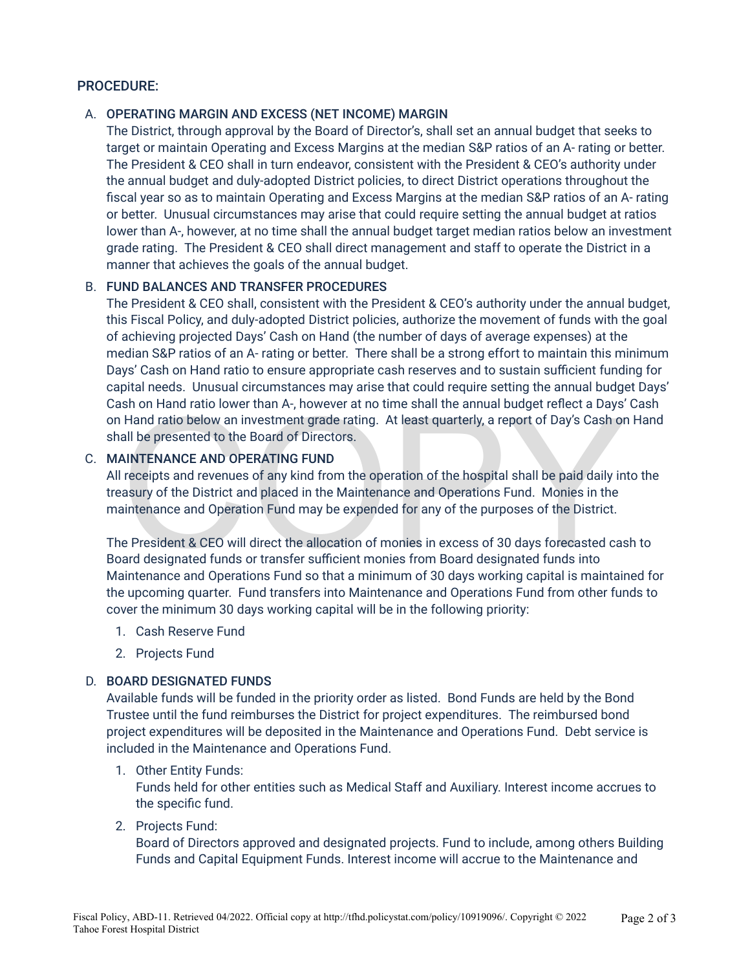#### PROCEDURE:

#### A. OPERATING MARGIN AND EXCESS (NET INCOME) MARGIN

The District, through approval by the Board of Director's, shall set an annual budget that seeks to target or maintain Operating and Excess Margins at the median S&P ratios of an A- rating or better. The President & CEO shall in turn endeavor, consistent with the President & CEO's authority under the annual budget and duly-adopted District policies, to direct District operations throughout the fiscal year so as to maintain Operating and Excess Margins at the median S&P ratios of an A- rating or better. Unusual circumstances may arise that could require setting the annual budget at ratios lower than A-, however, at no time shall the annual budget target median ratios below an investment grade rating. The President & CEO shall direct management and staff to operate the District in a manner that achieves the goals of the annual budget.

#### B. FUND BALANCES AND TRANSFER PROCEDURES

The President & CEO shall, consistent with the President & CEO's authority under the annual budget, this Fiscal Policy, and duly-adopted District policies, authorize the movement of funds with the goal of achieving projected Days' Cash on Hand (the number of days of average expenses) at the median S&P ratios of an A- rating or better. There shall be a strong effort to maintain this minimum Days' Cash on Hand ratio to ensure appropriate cash reserves and to sustain sufficient funding for capital needs. Unusual circumstances may arise that could require setting the annual budget Days' Cash on Hand ratio lower than A-, however at no time shall the annual budget reflect a Days' Cash on Hand ratio below an investment grade rating. At least quarterly, a report of Day's Cash on Hand shall be presented to the Board of Directors.

#### C. MAINTENANCE AND OPERATING FUND

shand ratio lower than A-, nowever at no time shall the annual budget reflect a Days<br>Hand ratio below an investment grade rating. At least quarterly, a report of Day's Cash or<br>all be presented to the Board of Directors.<br>AI All receipts and revenues of any kind from the operation of the hospital shall be paid daily into the treasury of the District and placed in the Maintenance and Operations Fund. Monies in the maintenance and Operation Fund may be expended for any of the purposes of the District.

The President & CEO will direct the allocation of monies in excess of 30 days forecasted cash to Board designated funds or transfer sufficient monies from Board designated funds into Maintenance and Operations Fund so that a minimum of 30 days working capital is maintained for the upcoming quarter. Fund transfers into Maintenance and Operations Fund from other funds to cover the minimum 30 days working capital will be in the following priority:

- 1. Cash Reserve Fund
- 2. Projects Fund

#### D. BOARD DESIGNATED FUNDS

Available funds will be funded in the priority order as listed. Bond Funds are held by the Bond Trustee until the fund reimburses the District for project expenditures. The reimbursed bond project expenditures will be deposited in the Maintenance and Operations Fund. Debt service is included in the Maintenance and Operations Fund.

#### 1. Other Entity Funds:

Funds held for other entities such as Medical Staff and Auxiliary. Interest income accrues to the specific fund.

#### 2. Projects Fund:

Board of Directors approved and designated projects. Fund to include, among others Building Funds and Capital Equipment Funds. Interest income will accrue to the Maintenance and